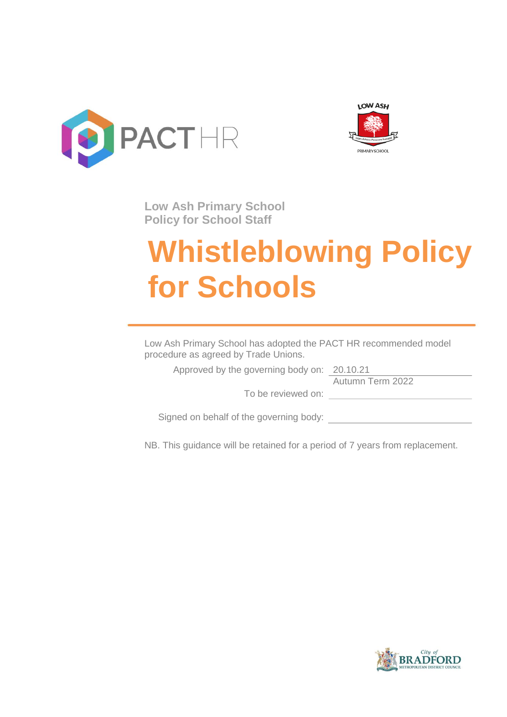



**Low Ash Primary School Policy for School Staff**

# **Whistleblowing Policy for Schools**

Low Ash Primary School has adopted the PACT HR recommended model procedure as agreed by Trade Unions.

Approved by the governing body on: 20.10.21

Autumn Term 2022

To be reviewed on:

Signed on behalf of the governing body:

NB. This guidance will be retained for a period of 7 years from replacement.

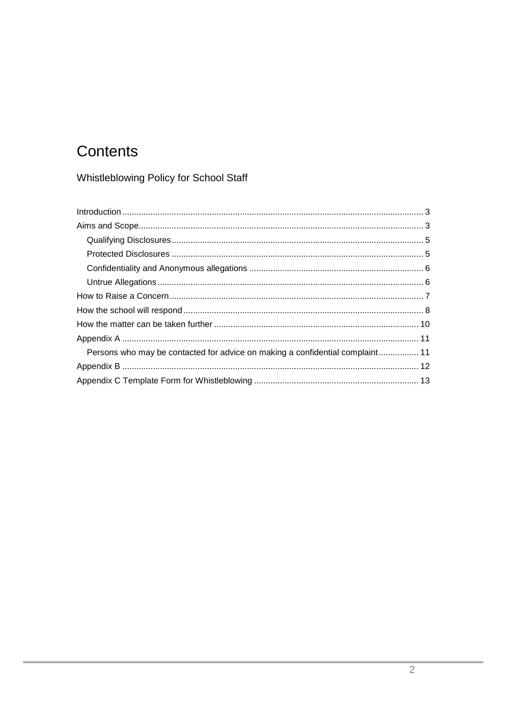## Contents

Whistleblowing Policy for School Staff

| Persons who may be contacted for advice on making a confidential complaint 11 |  |
|-------------------------------------------------------------------------------|--|
|                                                                               |  |
|                                                                               |  |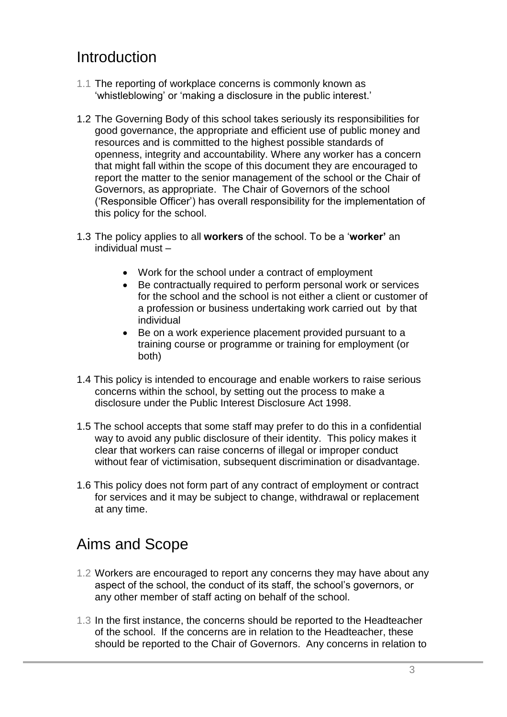### <span id="page-2-0"></span>Introduction

- 1.1 The reporting of workplace concerns is commonly known as 'whistleblowing' or 'making a disclosure in the public interest.'
- 1.2 The Governing Body of this school takes seriously its responsibilities for good governance, the appropriate and efficient use of public money and resources and is committed to the highest possible standards of openness, integrity and accountability. Where any worker has a concern that might fall within the scope of this document they are encouraged to report the matter to the senior management of the school or the Chair of Governors, as appropriate. The Chair of Governors of the school ('Responsible Officer') has overall responsibility for the implementation of this policy for the school.
- 1.3 The policy applies to all **workers** of the school. To be a '**worker'** an individual must –
	- Work for the school under a contract of employment
	- Be contractually required to perform personal work or services for the school and the school is not either a client or customer of a profession or business undertaking work carried out by that individual
	- Be on a work experience placement provided pursuant to a training course or programme or training for employment (or both)
- 1.4 This policy is intended to encourage and enable workers to raise serious concerns within the school, by setting out the process to make a disclosure under the Public Interest Disclosure Act 1998.
- 1.5 The school accepts that some staff may prefer to do this in a confidential way to avoid any public disclosure of their identity. This policy makes it clear that workers can raise concerns of illegal or improper conduct without fear of victimisation, subsequent discrimination or disadvantage.
- 1.6 This policy does not form part of any contract of employment or contract for services and it may be subject to change, withdrawal or replacement at any time.

### <span id="page-2-1"></span>Aims and Scope

- 1.2 Workers are encouraged to report any concerns they may have about any aspect of the school, the conduct of its staff, the school's governors, or any other member of staff acting on behalf of the school.
- 1.3 In the first instance, the concerns should be reported to the Headteacher of the school. If the concerns are in relation to the Headteacher, these should be reported to the Chair of Governors. Any concerns in relation to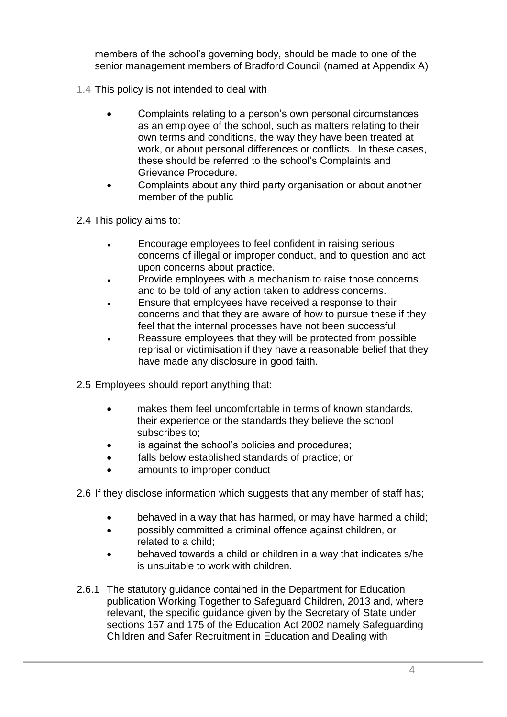members of the school's governing body, should be made to one of the senior management members of Bradford Council (named at Appendix A)

- 1.4 This policy is not intended to deal with
	- Complaints relating to a person's own personal circumstances as an employee of the school, such as matters relating to their own terms and conditions, the way they have been treated at work, or about personal differences or conflicts. In these cases, these should be referred to the school's Complaints and Grievance Procedure.
	- Complaints about any third party organisation or about another member of the public
- 2.4 This policy aims to:
	- Encourage employees to feel confident in raising serious concerns of illegal or improper conduct, and to question and act upon concerns about practice.
	- Provide employees with a mechanism to raise those concerns and to be told of any action taken to address concerns.
	- Ensure that employees have received a response to their concerns and that they are aware of how to pursue these if they feel that the internal processes have not been successful.
	- Reassure employees that they will be protected from possible reprisal or victimisation if they have a reasonable belief that they have made any disclosure in good faith.
- 2.5 Employees should report anything that:
	- makes them feel uncomfortable in terms of known standards, their experience or the standards they believe the school subscribes to;
	- is against the school's policies and procedures;
	- falls below established standards of practice; or
	- amounts to improper conduct
- 2.6 If they disclose information which suggests that any member of staff has;
	- behaved in a way that has harmed, or may have harmed a child;
	- possibly committed a criminal offence against children, or related to a child;
	- behaved towards a child or children in a way that indicates s/he is unsuitable to work with children.
- 2.6.1 The statutory guidance contained in the Department for Education publication Working Together to Safeguard Children, 2013 and, where relevant, the specific guidance given by the Secretary of State under sections 157 and 175 of the Education Act 2002 namely Safeguarding Children and Safer Recruitment in Education and Dealing with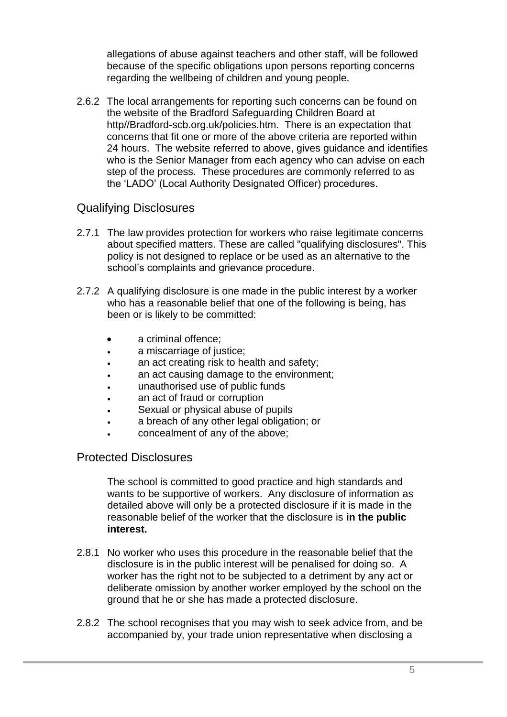allegations of abuse against teachers and other staff, will be followed because of the specific obligations upon persons reporting concerns regarding the wellbeing of children and young people.

2.6.2 The local arrangements for reporting such concerns can be found on the website of the Bradford Safeguarding Children Board at http//Bradford-scb.org.uk/policies.htm. There is an expectation that concerns that fit one or more of the above criteria are reported within 24 hours. The website referred to above, gives guidance and identifies who is the Senior Manager from each agency who can advise on each step of the process. These procedures are commonly referred to as the 'LADO' (Local Authority Designated Officer) procedures.

### <span id="page-4-0"></span>Qualifying Disclosures

- 2.7.1 The law provides protection for workers who raise legitimate concerns about specified matters. These are called "qualifying disclosures". This policy is not designed to replace or be used as an alternative to the school's complaints and grievance procedure.
- 2.7.2 A qualifying disclosure is one made in the public interest by a worker who has a reasonable belief that one of the following is being, has been or is likely to be committed:
	- a criminal offence;
	- a miscarriage of justice;
	- an act creating risk to health and safety;
	- an act causing damage to the environment;
	- unauthorised use of public funds
	- an act of fraud or corruption
	- Sexual or physical abuse of pupils
	- a breach of any other legal obligation; or
	- concealment of any of the above;

### <span id="page-4-1"></span>Protected Disclosures

The school is committed to good practice and high standards and wants to be supportive of workers. Any disclosure of information as detailed above will only be a protected disclosure if it is made in the reasonable belief of the worker that the disclosure is **in the public interest.**

- 2.8.1 No worker who uses this procedure in the reasonable belief that the disclosure is in the public interest will be penalised for doing so. A worker has the right not to be subjected to a detriment by any act or deliberate omission by another worker employed by the school on the ground that he or she has made a protected disclosure.
- 2.8.2 The school recognises that you may wish to seek advice from, and be accompanied by, your trade union representative when disclosing a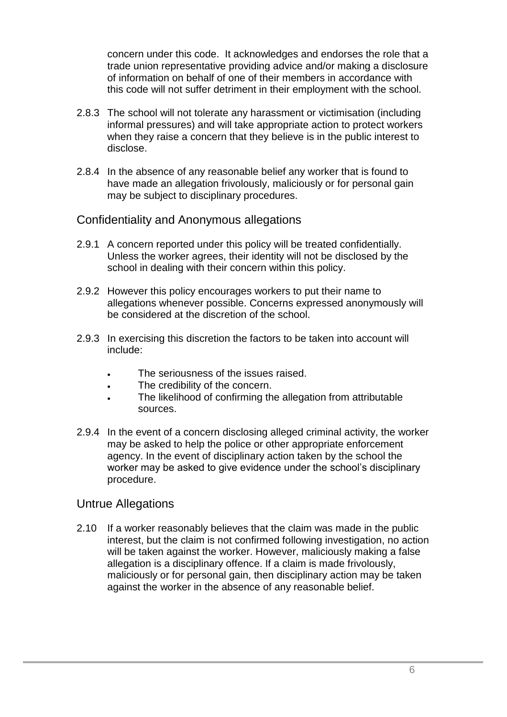concern under this code. It acknowledges and endorses the role that a trade union representative providing advice and/or making a disclosure of information on behalf of one of their members in accordance with this code will not suffer detriment in their employment with the school.

- 2.8.3 The school will not tolerate any harassment or victimisation (including informal pressures) and will take appropriate action to protect workers when they raise a concern that they believe is in the public interest to disclose.
- 2.8.4 In the absence of any reasonable belief any worker that is found to have made an allegation frivolously, maliciously or for personal gain may be subject to disciplinary procedures.

### <span id="page-5-0"></span>Confidentiality and Anonymous allegations

- 2.9.1 A concern reported under this policy will be treated confidentially. Unless the worker agrees, their identity will not be disclosed by the school in dealing with their concern within this policy.
- 2.9.2 However this policy encourages workers to put their name to allegations whenever possible. Concerns expressed anonymously will be considered at the discretion of the school.
- 2.9.3 In exercising this discretion the factors to be taken into account will include:
	- The seriousness of the issues raised.
	- The credibility of the concern.
	- The likelihood of confirming the allegation from attributable sources.
- 2.9.4 In the event of a concern disclosing alleged criminal activity, the worker may be asked to help the police or other appropriate enforcement agency. In the event of disciplinary action taken by the school the worker may be asked to give evidence under the school's disciplinary procedure.

### <span id="page-5-1"></span>Untrue Allegations

2.10 If a worker reasonably believes that the claim was made in the public interest, but the claim is not confirmed following investigation, no action will be taken against the worker. However, maliciously making a false allegation is a disciplinary offence. If a claim is made frivolously, maliciously or for personal gain, then disciplinary action may be taken against the worker in the absence of any reasonable belief.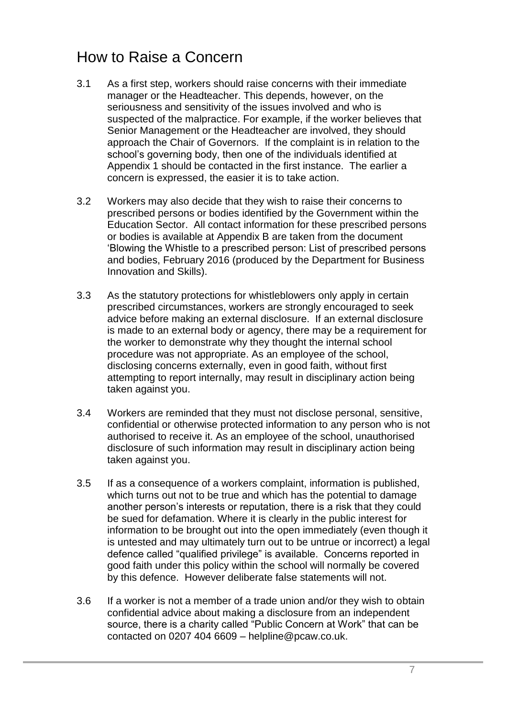### <span id="page-6-0"></span>How to Raise a Concern

- 3.1 As a first step, workers should raise concerns with their immediate manager or the Headteacher. This depends, however, on the seriousness and sensitivity of the issues involved and who is suspected of the malpractice. For example, if the worker believes that Senior Management or the Headteacher are involved, they should approach the Chair of Governors. If the complaint is in relation to the school's governing body, then one of the individuals identified at Appendix 1 should be contacted in the first instance. The earlier a concern is expressed, the easier it is to take action.
- 3.2 Workers may also decide that they wish to raise their concerns to prescribed persons or bodies identified by the Government within the Education Sector. All contact information for these prescribed persons or bodies is available at Appendix B are taken from the document 'Blowing the Whistle to a prescribed person: List of prescribed persons and bodies, February 2016 (produced by the Department for Business Innovation and Skills).
- 3.3 As the statutory protections for whistleblowers only apply in certain prescribed circumstances, workers are strongly encouraged to seek advice before making an external disclosure. If an external disclosure is made to an external body or agency, there may be a requirement for the worker to demonstrate why they thought the internal school procedure was not appropriate. As an employee of the school, disclosing concerns externally, even in good faith, without first attempting to report internally, may result in disciplinary action being taken against you.
- 3.4 Workers are reminded that they must not disclose personal, sensitive, confidential or otherwise protected information to any person who is not authorised to receive it. As an employee of the school, unauthorised disclosure of such information may result in disciplinary action being taken against you.
- 3.5 If as a consequence of a workers complaint, information is published, which turns out not to be true and which has the potential to damage another person's interests or reputation, there is a risk that they could be sued for defamation. Where it is clearly in the public interest for information to be brought out into the open immediately (even though it is untested and may ultimately turn out to be untrue or incorrect) a legal defence called "qualified privilege" is available. Concerns reported in good faith under this policy within the school will normally be covered by this defence. However deliberate false statements will not.
- 3.6 If a worker is not a member of a trade union and/or they wish to obtain confidential advice about making a disclosure from an independent source, there is a charity called "Public Concern at Work" that can be contacted on 0207 404 6609 – helpline@pcaw.co.uk.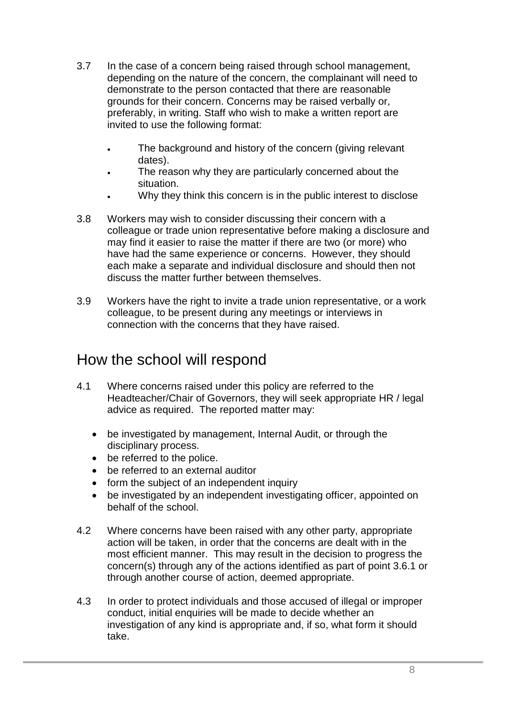- 3.7 In the case of a concern being raised through school management, depending on the nature of the concern, the complainant will need to demonstrate to the person contacted that there are reasonable grounds for their concern. Concerns may be raised verbally or, preferably, in writing. Staff who wish to make a written report are invited to use the following format:
	- The background and history of the concern (giving relevant dates).
	- The reason why they are particularly concerned about the situation.
	- Why they think this concern is in the public interest to disclose
- 3.8 Workers may wish to consider discussing their concern with a colleague or trade union representative before making a disclosure and may find it easier to raise the matter if there are two (or more) who have had the same experience or concerns. However, they should each make a separate and individual disclosure and should then not discuss the matter further between themselves.
- 3.9 Workers have the right to invite a trade union representative, or a work colleague, to be present during any meetings or interviews in connection with the concerns that they have raised.

### <span id="page-7-0"></span>How the school will respond

- 4.1 Where concerns raised under this policy are referred to the Headteacher/Chair of Governors, they will seek appropriate HR / legal advice as required. The reported matter may:
	- be investigated by management, Internal Audit, or through the disciplinary process.
	- be referred to the police.
	- be referred to an external auditor
	- form the subject of an independent inquiry
	- be investigated by an independent investigating officer, appointed on behalf of the school.
- 4.2 Where concerns have been raised with any other party, appropriate action will be taken, in order that the concerns are dealt with in the most efficient manner. This may result in the decision to progress the concern(s) through any of the actions identified as part of point 3.6.1 or through another course of action, deemed appropriate.
- 4.3 In order to protect individuals and those accused of illegal or improper conduct, initial enquiries will be made to decide whether an investigation of any kind is appropriate and, if so, what form it should take.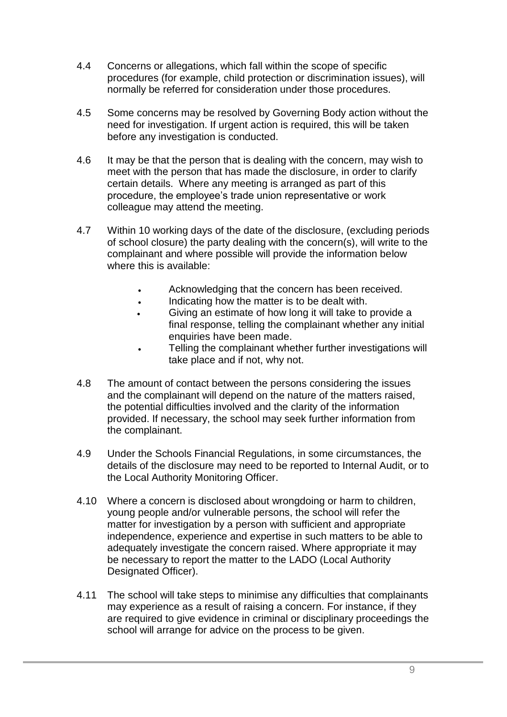- 4.4 Concerns or allegations, which fall within the scope of specific procedures (for example, child protection or discrimination issues), will normally be referred for consideration under those procedures.
- 4.5 Some concerns may be resolved by Governing Body action without the need for investigation. If urgent action is required, this will be taken before any investigation is conducted.
- 4.6 It may be that the person that is dealing with the concern, may wish to meet with the person that has made the disclosure, in order to clarify certain details. Where any meeting is arranged as part of this procedure, the employee's trade union representative or work colleague may attend the meeting.
- 4.7 Within 10 working days of the date of the disclosure, (excluding periods of school closure) the party dealing with the concern(s), will write to the complainant and where possible will provide the information below where this is available:
	- Acknowledging that the concern has been received.
	- Indicating how the matter is to be dealt with.
	- Giving an estimate of how long it will take to provide a final response, telling the complainant whether any initial enquiries have been made.
	- Telling the complainant whether further investigations will take place and if not, why not.
- 4.8 The amount of contact between the persons considering the issues and the complainant will depend on the nature of the matters raised, the potential difficulties involved and the clarity of the information provided. If necessary, the school may seek further information from the complainant.
- 4.9 Under the Schools Financial Regulations, in some circumstances, the details of the disclosure may need to be reported to Internal Audit, or to the Local Authority Monitoring Officer.
- 4.10 Where a concern is disclosed about wrongdoing or harm to children, young people and/or vulnerable persons, the school will refer the matter for investigation by a person with sufficient and appropriate independence, experience and expertise in such matters to be able to adequately investigate the concern raised. Where appropriate it may be necessary to report the matter to the LADO (Local Authority Designated Officer).
- 4.11 The school will take steps to minimise any difficulties that complainants may experience as a result of raising a concern. For instance, if they are required to give evidence in criminal or disciplinary proceedings the school will arrange for advice on the process to be given.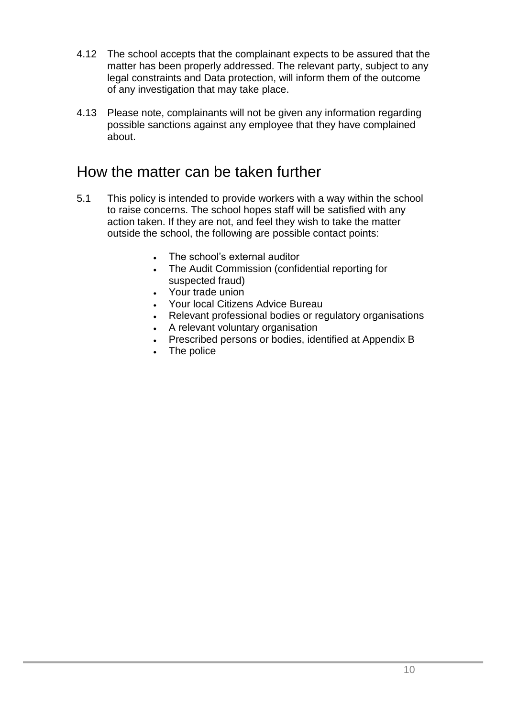- 4.12 The school accepts that the complainant expects to be assured that the matter has been properly addressed. The relevant party, subject to any legal constraints and Data protection, will inform them of the outcome of any investigation that may take place.
- 4.13 Please note, complainants will not be given any information regarding possible sanctions against any employee that they have complained about.

### <span id="page-9-0"></span>How the matter can be taken further

- 5.1 This policy is intended to provide workers with a way within the school to raise concerns. The school hopes staff will be satisfied with any action taken. If they are not, and feel they wish to take the matter outside the school, the following are possible contact points:
	- The school's external auditor
	- The Audit Commission (confidential reporting for suspected fraud)
	- Your trade union
	- Your local Citizens Advice Bureau
	- Relevant professional bodies or regulatory organisations
	- A relevant voluntary organisation
	- Prescribed persons or bodies, identified at Appendix B
	- The police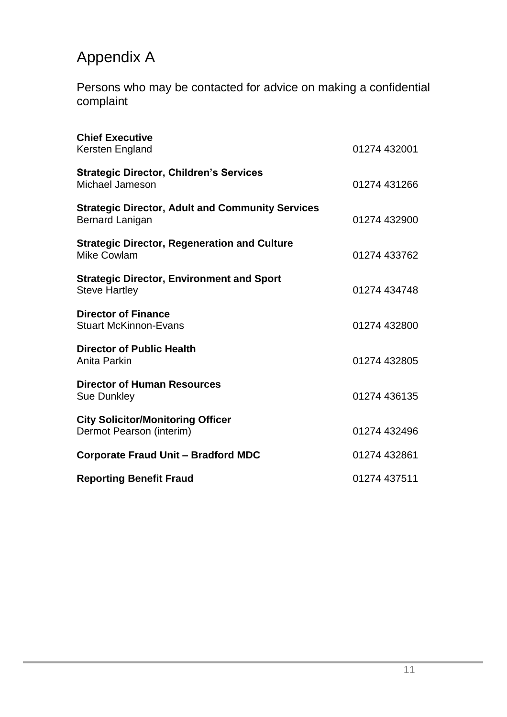# <span id="page-10-0"></span>Appendix A

<span id="page-10-1"></span>Persons who may be contacted for advice on making a confidential complaint

| <b>Chief Executive</b><br>Kersten England                                         | 01274 432001 |
|-----------------------------------------------------------------------------------|--------------|
| <b>Strategic Director, Children's Services</b><br>Michael Jameson                 | 01274 431266 |
| <b>Strategic Director, Adult and Community Services</b><br><b>Bernard Lanigan</b> | 01274 432900 |
| <b>Strategic Director, Regeneration and Culture</b><br><b>Mike Cowlam</b>         | 01274 433762 |
| <b>Strategic Director, Environment and Sport</b><br><b>Steve Hartley</b>          | 01274 434748 |
| <b>Director of Finance</b><br><b>Stuart McKinnon-Evans</b>                        | 01274 432800 |
| <b>Director of Public Health</b><br>Anita Parkin                                  | 01274 432805 |
| <b>Director of Human Resources</b><br><b>Sue Dunkley</b>                          | 01274 436135 |
| <b>City Solicitor/Monitoring Officer</b><br>Dermot Pearson (interim)              | 01274 432496 |
| <b>Corporate Fraud Unit - Bradford MDC</b>                                        | 01274 432861 |
| <b>Reporting Benefit Fraud</b>                                                    | 01274 437511 |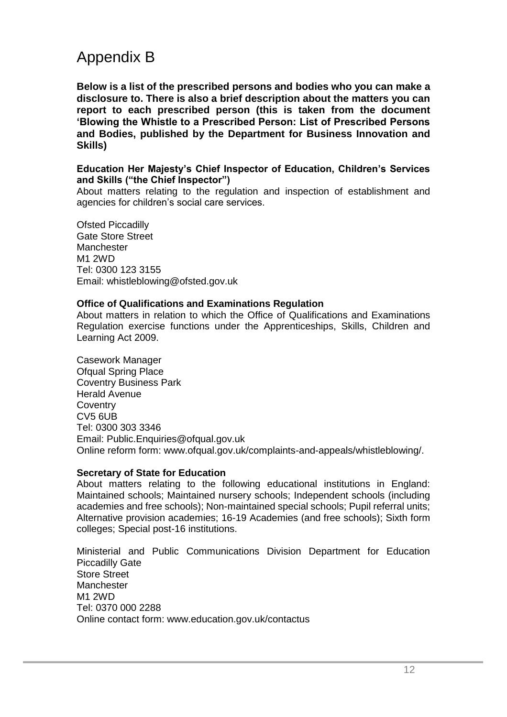### <span id="page-11-0"></span>Appendix B

**Below is a list of the prescribed persons and bodies who you can make a disclosure to. There is also a brief description about the matters you can report to each prescribed person (this is taken from the document 'Blowing the Whistle to a Prescribed Person: List of Prescribed Persons and Bodies, published by the Department for Business Innovation and Skills)**

### **Education Her Majesty's Chief Inspector of Education, Children's Services and Skills ("the Chief Inspector")**

About matters relating to the regulation and inspection of establishment and agencies for children's social care services.

Ofsted Piccadilly Gate Store Street **Manchester** M1 2WD Tel: 0300 123 3155 Email: whistleblowing@ofsted.gov.uk

#### **Office of Qualifications and Examinations Regulation**

About matters in relation to which the Office of Qualifications and Examinations Regulation exercise functions under the Apprenticeships, Skills, Children and Learning Act 2009.

Casework Manager Ofqual Spring Place Coventry Business Park Herald Avenue **Coventry** CV5 6UB Tel: 0300 303 3346 Email: Public.Enquiries@ofqual.gov.uk Online reform form: www.ofqual.gov.uk/complaints-and-appeals/whistleblowing/.

#### **Secretary of State for Education**

About matters relating to the following educational institutions in England: Maintained schools; Maintained nursery schools; Independent schools (including academies and free schools); Non-maintained special schools; Pupil referral units; Alternative provision academies; 16-19 Academies (and free schools); Sixth form colleges; Special post-16 institutions.

Ministerial and Public Communications Division Department for Education Piccadilly Gate Store Street Manchester M1 2WD Tel: 0370 000 2288 Online contact form: www.education.gov.uk/contactus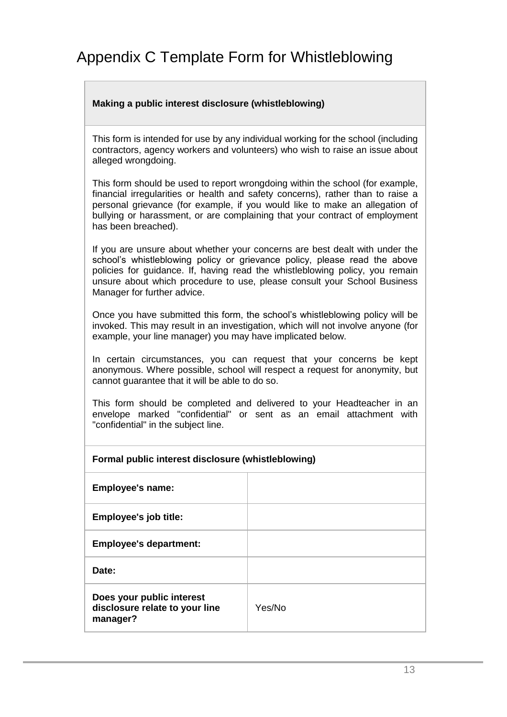### <span id="page-12-0"></span>Appendix C Template Form for Whistleblowing

### **Making a public interest disclosure (whistleblowing)**

This form is intended for use by any individual working for the school (including contractors, agency workers and volunteers) who wish to raise an issue about alleged wrongdoing.

This form should be used to report wrongdoing within the school (for example, financial irregularities or health and safety concerns), rather than to raise a personal grievance (for example, if you would like to make an allegation of bullying or harassment, or are complaining that your contract of employment has been breached).

If you are unsure about whether your concerns are best dealt with under the school's whistleblowing policy or grievance policy, please read the above policies for guidance. If, having read the whistleblowing policy, you remain unsure about which procedure to use, please consult your School Business Manager for further advice.

Once you have submitted this form, the school's whistleblowing policy will be invoked. This may result in an investigation, which will not involve anyone (for example, your line manager) you may have implicated below.

In certain circumstances, you can request that your concerns be kept anonymous. Where possible, school will respect a request for anonymity, but cannot guarantee that it will be able to do so.

This form should be completed and delivered to your Headteacher in an envelope marked "confidential" or sent as an email attachment with "confidential" in the subject line.

# **Formal public interest disclosure (whistleblowing) Employee's name: Employee's job title:**

**Employee's department:**

**Date:**

| Does your public interest      |  |
|--------------------------------|--|
| disclosure relate to your line |  |
| manager?                       |  |